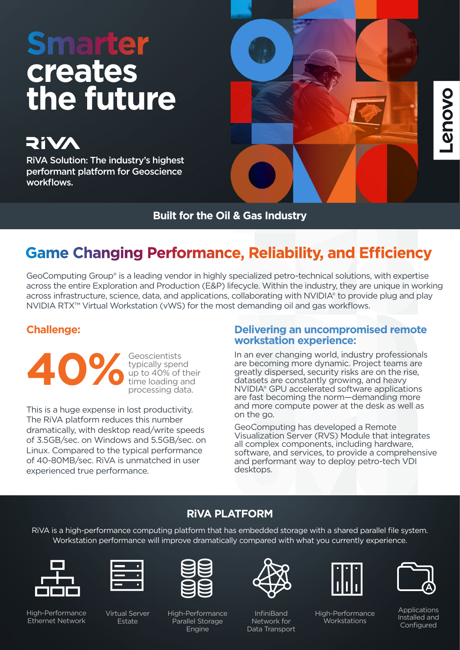# **Smarter creates the future**

**RiVA** 

RiVA Solution: The industry's highest performant platform for Geoscience workflows.



**Built for the Oil & Gas Industry**

## **Game Changing Performance, Reliability, and Efficiency**

GeoComputing Group® is a leading vendor in highly specialized petro-technical solutions, with expertise across the entire Exploration and Production (E&P) lifecycle. Within the industry, they are unique in working across infrastructure, science, data, and applications, collaborating with NVIDIA® to provide plug and play NVIDIA RTX™ Virtual Workstation (vWS) for the most demanding oil and gas workflows.

## **Challenge:**

**Geoscientists** typically spend up to 40% of their time loading and **40%**  processing data.

This is a huge expense in lost productivity. The RiVA platform reduces this number dramatically, with desktop read/write speeds of 3.5GB/sec. on Windows and 5.5GB/sec. on Linux. Compared to the typical performance of 40-80MB/sec. RiVA is unmatched in user experienced true performance.

### **Delivering an uncompromised remote workstation experience:**

In an ever changing world, industry professionals are becoming more dynamic. Project teams are greatly dispersed, security risks are on the rise, datasets are constantly growing, and heavy NVIDIA® GPU accelerated software applications are fast becoming the norm—demanding more and more compute power at the desk as well as on the go.

GeoComputing has developed a Remote Visualization Server (RVS) Module that integrates all complex components, including hardware, software, and services, to provide a comprehensive and performant way to deploy petro-tech VDI desktops.

## **RiVA PLATFORM**

RiVA is a high-performance computing platform that has embedded storage with a shared parallel file system. Workstation performance will improve dramatically compared with what you currently experience.



High-Performance Ethernet Network

Virtual Server Estate



High-Performance Parallel Storage Engine



InfiniBand Network for Data Transport



High-Performance **Workstations** 

**Provo** 

**Applications** Installed and **Configured**